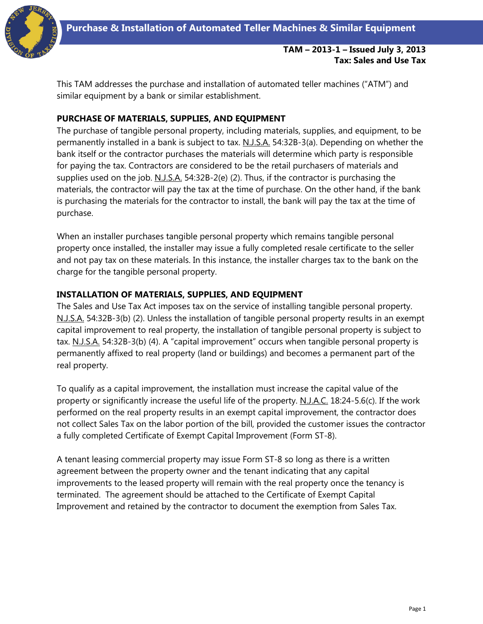

# **TAM – 2013-1 – Issued July 3, 2013 Tax: Sales and Use Tax**

This TAM addresses the purchase and installation of automated teller machines ("ATM") and similar equipment by a bank or similar establishment.

# **PURCHASE OF MATERIALS, SUPPLIES, AND EQUIPMENT**

The purchase of tangible personal property, including materials, supplies, and equipment, to be permanently installed in a bank is subject to tax. N.J.S.A. 54:32B-3(a). Depending on whether the bank itself or the contractor purchases the materials will determine which party is responsible for paying the tax. Contractors are considered to be the retail purchasers of materials and supplies used on the job. N.J.S.A. 54:32B-2(e) (2). Thus, if the contractor is purchasing the materials, the contractor will pay the tax at the time of purchase. On the other hand, if the bank is purchasing the materials for the contractor to install, the bank will pay the tax at the time of purchase.

When an installer purchases tangible personal property which remains tangible personal property once installed, the installer may issue a fully completed resale certificate to the seller and not pay tax on these materials. In this instance, the installer charges tax to the bank on the charge for the tangible personal property.

## **INSTALLATION OF MATERIALS, SUPPLIES, AND EQUIPMENT**

The Sales and Use Tax Act imposes tax on the service of installing tangible personal property. N.J.S.A. 54:32B-3(b) (2). Unless the installation of tangible personal property results in an exempt capital improvement to real property, the installation of tangible personal property is subject to tax. N.J.S.A. 54:32B-3(b) (4). A "capital improvement" occurs when tangible personal property is permanently affixed to real property (land or buildings) and becomes a permanent part of the real property.

To qualify as a capital improvement, the installation must increase the capital value of the property or significantly increase the useful life of the property. N.J.A.C. 18:24-5.6(c). If the work performed on the real property results in an exempt capital improvement, the contractor does not collect Sales Tax on the labor portion of the bill, provided the customer issues the contractor a fully completed Certificate of Exempt Capital Improvement (Form ST-8).

A tenant leasing commercial property may issue Form ST-8 so long as there is a written agreement between the property owner and the tenant indicating that any capital improvements to the leased property will remain with the real property once the tenancy is terminated. The agreement should be attached to the Certificate of Exempt Capital Improvement and retained by the contractor to document the exemption from Sales Tax.